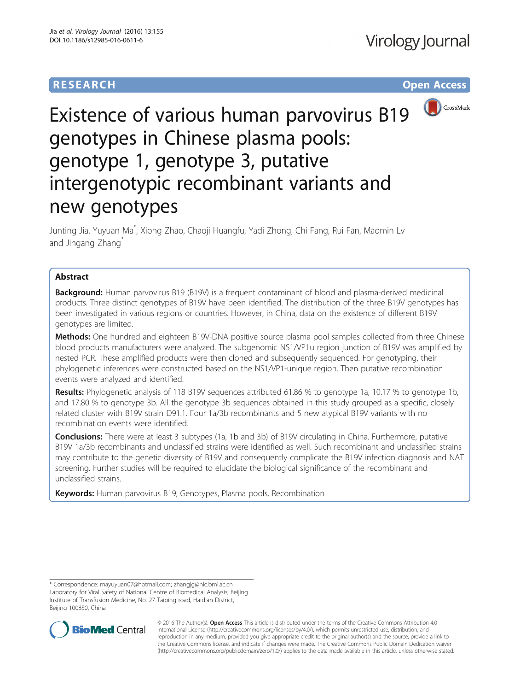# **RESEARCH RESEARCH** *CHECK <b>CHECK*



# Existence of various human parvovirus B19 genotypes in Chinese plasma pools: genotype 1, genotype 3, putative intergenotypic recombinant variants and new genotypes

Junting Jia, Yuyuan Ma\* , Xiong Zhao, Chaoji Huangfu, Yadi Zhong, Chi Fang, Rui Fan, Maomin Lv and Jingang Zhang

# Abstract

**Background:** Human parvovirus B19 (B19V) is a frequent contaminant of blood and plasma-derived medicinal products. Three distinct genotypes of B19V have been identified. The distribution of the three B19V genotypes has been investigated in various regions or countries. However, in China, data on the existence of different B19V genotypes are limited.

Methods: One hundred and eighteen B19V-DNA positive source plasma pool samples collected from three Chinese blood products manufacturers were analyzed. The subgenomic NS1/VP1u region junction of B19V was amplified by nested PCR. These amplified products were then cloned and subsequently sequenced. For genotyping, their phylogenetic inferences were constructed based on the NS1/VP1-unique region. Then putative recombination events were analyzed and identified.

Results: Phylogenetic analysis of 118 B19V sequences attributed 61.86 % to genotype 1a, 10.17 % to genotype 1b, and 17.80 % to genotype 3b. All the genotype 3b sequences obtained in this study grouped as a specific, closely related cluster with B19V strain D91.1. Four 1a/3b recombinants and 5 new atypical B19V variants with no recombination events were identified.

**Conclusions:** There were at least 3 subtypes (1a, 1b and 3b) of B19V circulating in China. Furthermore, putative B19V 1a/3b recombinants and unclassified strains were identified as well. Such recombinant and unclassified strains may contribute to the genetic diversity of B19V and consequently complicate the B19V infection diagnosis and NAT screening. Further studies will be required to elucidate the biological significance of the recombinant and unclassified strains.

Keywords: Human parvovirus B19, Genotypes, Plasma pools, Recombination

<sup>\*</sup> Correspondence: [mayuyuan07@hotmail.com;](mailto:mayuyuan07@hotmail.com) [zhangjg@nic.bmi.ac.cn](mailto:zhangjg@nic.bmi.ac.cn) Laboratory for Viral Safety of National Centre of Biomedical Analysis, Beijing Institute of Transfusion Medicine, No. 27 Taiping road, Haidian District, Beijing 100850, China



© 2016 The Author(s). Open Access This article is distributed under the terms of the Creative Commons Attribution 4.0 International License [\(http://creativecommons.org/licenses/by/4.0/](http://creativecommons.org/licenses/by/4.0/)), which permits unrestricted use, distribution, and reproduction in any medium, provided you give appropriate credit to the original author(s) and the source, provide a link to the Creative Commons license, and indicate if changes were made. The Creative Commons Public Domain Dedication waiver [\(http://creativecommons.org/publicdomain/zero/1.0/](http://creativecommons.org/publicdomain/zero/1.0/)) applies to the data made available in this article, unless otherwise stated.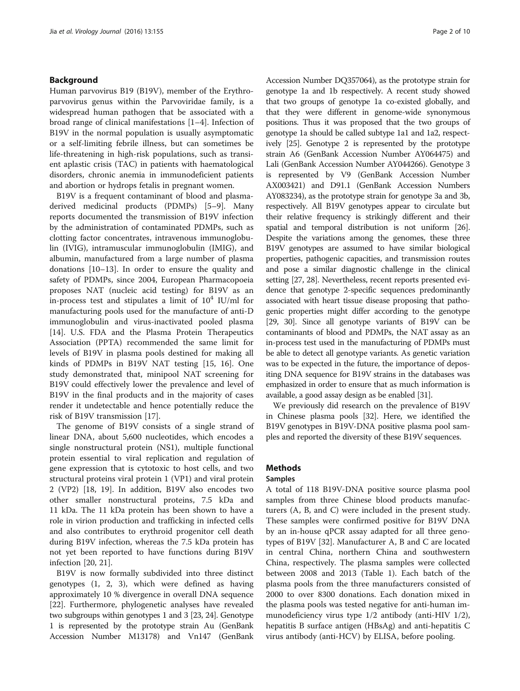# Background

Human parvovirus B19 (B19V), member of the Erythroparvovirus genus within the Parvoviridae family, is a widespread human pathogen that be associated with a broad range of clinical manifestations [\[1](#page-8-0)–[4\]](#page-8-0). Infection of B19V in the normal population is usually asymptomatic or a self-limiting febrile illness, but can sometimes be life-threatening in high-risk populations, such as transient aplastic crisis (TAC) in patients with haematological disorders, chronic anemia in immunodeficient patients and abortion or hydrops fetalis in pregnant women.

B19V is a frequent contaminant of blood and plasmaderived medicinal products (PDMPs) [\[5](#page-8-0)–[9](#page-8-0)]. Many reports documented the transmission of B19V infection by the administration of contaminated PDMPs, such as clotting factor concentrates, intravenous immunoglobulin (IVIG), intramuscular immunoglobulin (IMIG), and albumin, manufactured from a large number of plasma donations [[10](#page-8-0)–[13](#page-8-0)]. In order to ensure the quality and safety of PDMPs, since 2004, European Pharmacopoeia proposes NAT (nucleic acid testing) for B19V as an in-process test and stipulates a limit of  $10^4$  IU/ml for manufacturing pools used for the manufacture of anti-D immunoglobulin and virus-inactivated pooled plasma [[14\]](#page-8-0). U.S. FDA and the Plasma Protein Therapeutics Association (PPTA) recommended the same limit for levels of B19V in plasma pools destined for making all kinds of PDMPs in B19V NAT testing [\[15](#page-8-0), [16](#page-8-0)]. One study demonstrated that, minipool NAT screening for B19V could effectively lower the prevalence and level of B19V in the final products and in the majority of cases render it undetectable and hence potentially reduce the risk of B19V transmission [[17\]](#page-8-0).

The genome of B19V consists of a single strand of linear DNA, about 5,600 nucleotides, which encodes a single nonstructural protein (NS1), multiple functional protein essential to viral replication and regulation of gene expression that is cytotoxic to host cells, and two structural proteins viral protein 1 (VP1) and viral protein 2 (VP2) [\[18](#page-8-0), [19](#page-8-0)]. In addition, B19V also encodes two other smaller nonstructural proteins, 7.5 kDa and 11 kDa. The 11 kDa protein has been shown to have a role in virion production and trafficking in infected cells and also contributes to erythroid progenitor cell death during B19V infection, whereas the 7.5 kDa protein has not yet been reported to have functions during B19V infection [[20, 21\]](#page-8-0).

B19V is now formally subdivided into three distinct genotypes (1, 2, 3), which were defined as having approximately 10 % divergence in overall DNA sequence [[22\]](#page-8-0). Furthermore, phylogenetic analyses have revealed two subgroups within genotypes 1 and 3 [\[23, 24\]](#page-8-0). Genotype 1 is represented by the prototype strain Au (GenBank Accession Number M13178) and Vn147 (GenBank Accession Number DQ357064), as the prototype strain for genotype 1a and 1b respectively. A recent study showed that two groups of genotype 1a co-existed globally, and that they were different in genome-wide synonymous positions. Thus it was proposed that the two groups of genotype 1a should be called subtype 1a1 and 1a2, respectively [[25](#page-8-0)]. Genotype 2 is represented by the prototype strain A6 (GenBank Accession Number AY064475) and Lali (GenBank Accession Number AY044266). Genotype 3 is represented by V9 (GenBank Accession Number AX003421) and D91.1 (GenBank Accession Numbers AY083234), as the prototype strain for genotype 3a and 3b, respectively. All B19V genotypes appear to circulate but their relative frequency is strikingly different and their spatial and temporal distribution is not uniform [\[26](#page-8-0)]. Despite the variations among the genomes, these three B19V genotypes are assumed to have similar biological properties, pathogenic capacities, and transmission routes and pose a similar diagnostic challenge in the clinical setting [[27](#page-8-0), [28\]](#page-8-0). Nevertheless, recent reports presented evidence that genotype 2-specific sequences predominantly associated with heart tissue disease proposing that pathogenic properties might differ according to the genotype [[29](#page-8-0), [30](#page-8-0)]. Since all genotype variants of B19V can be contaminants of blood and PDMPs, the NAT assay as an in-process test used in the manufacturing of PDMPs must be able to detect all genotype variants. As genetic variation was to be expected in the future, the importance of depositing DNA sequence for B19V strains in the databases was emphasized in order to ensure that as much information is available, a good assay design as be enabled [\[31\]](#page-8-0).

We previously did research on the prevalence of B19V in Chinese plasma pools [[32](#page-8-0)]. Here, we identified the B19V genotypes in B19V-DNA positive plasma pool samples and reported the diversity of these B19V sequences.

# **Methods**

# Samples

A total of 118 B19V-DNA positive source plasma pool samples from three Chinese blood products manufacturers (A, B, and C) were included in the present study. These samples were confirmed positive for B19V DNA by an in-house qPCR assay adapted for all three genotypes of B19V [\[32\]](#page-8-0). Manufacturer A, B and C are located in central China, northern China and southwestern China, respectively. The plasma samples were collected between 2008 and 2013 (Table [1](#page-2-0)). Each batch of the plasma pools from the three manufacturers consisted of 2000 to over 8300 donations. Each donation mixed in the plasma pools was tested negative for anti-human immunodeficiency virus type 1/2 antibody (anti-HIV 1/2), hepatitis B surface antigen (HBsAg) and anti-hepatitis C virus antibody (anti-HCV) by ELISA, before pooling.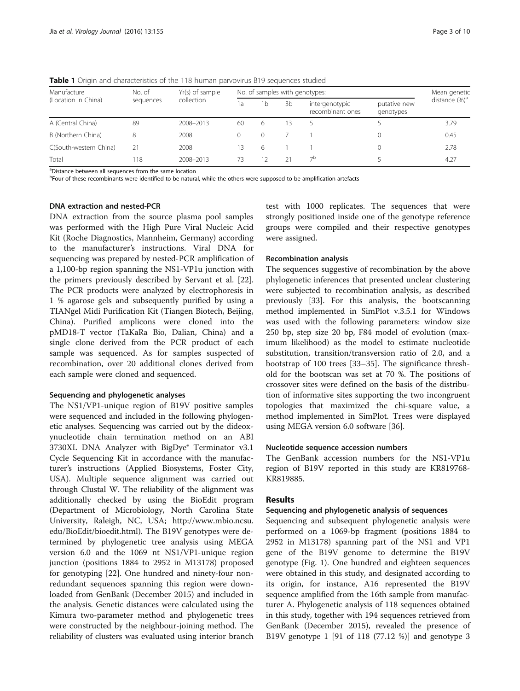| Manufacture<br>(Location in China) | No. of<br>sequences | Yr(s) of sample<br>collection | No. of samples with genotypes: |    |    |                                    |                           | Mean genetic              |
|------------------------------------|---------------------|-------------------------------|--------------------------------|----|----|------------------------------------|---------------------------|---------------------------|
|                                    |                     |                               | la                             | 1b | 3b | intergenotypic<br>recombinant ones | putative new<br>genotypes | distance (%) <sup>a</sup> |
| A (Central China)                  | 89                  | 2008-2013                     | 60                             | 6. | 13 |                                    |                           | 3.79                      |
| B (Northern China)                 | 8                   | 2008                          | $\Omega$                       | 0  |    |                                    |                           | 0.45                      |
| C(South-western China)             | 21                  | 2008                          | 13                             | 6  |    |                                    |                           | 2.78                      |
| Total                              | 118                 | 2008-2013                     | 73                             | 12 | 21 | $\neg$ b                           |                           | 4.27                      |

<span id="page-2-0"></span>Table 1 Origin and characteristics of the 118 human parvovirus B19 sequences studied

<sup>a</sup>Distance between all sequences from the same location

<sup>b</sup>Four of these recombinants were identified to be natural, while the others were supposed to be amplification artefacts

#### DNA extraction and nested-PCR

DNA extraction from the source plasma pool samples was performed with the High Pure Viral Nucleic Acid Kit (Roche Diagnostics, Mannheim, Germany) according to the manufacturer's instructions. Viral DNA for sequencing was prepared by nested-PCR amplification of a 1,100-bp region spanning the NS1-VP1u junction with the primers previously described by Servant et al. [\[22](#page-8-0)]. The PCR products were analyzed by electrophoresis in 1 % agarose gels and subsequently purified by using a TIANgel Midi Purification Kit (Tiangen Biotech, Beijing, China). Purified amplicons were cloned into the pMD18-T vector (TaKaRa Bio, Dalian, China) and a single clone derived from the PCR product of each sample was sequenced. As for samples suspected of recombination, over 20 additional clones derived from each sample were cloned and sequenced.

# Sequencing and phylogenetic analyses

The NS1/VP1-unique region of B19V positive samples were sequenced and included in the following phylogenetic analyses. Sequencing was carried out by the dideoxynucleotide chain termination method on an ABI 3730XL DNA Analyzer with BigDye® Terminator v3.1 Cycle Sequencing Kit in accordance with the manufacturer's instructions (Applied Biosystems, Foster City, USA). Multiple sequence alignment was carried out through Clustal W. The reliability of the alignment was additionally checked by using the BioEdit program (Department of Microbiology, North Carolina State University, Raleigh, NC, USA; [http://www.mbio.ncsu.](http://www.mbio.ncsu.edu/BioEdit/bioedit.html) [edu/BioEdit/bioedit.html](http://www.mbio.ncsu.edu/BioEdit/bioedit.html)). The B19V genotypes were determined by phylogenetic tree analysis using MEGA version 6.0 and the 1069 nt NS1/VP1-unique region junction (positions 1884 to 2952 in M13178) proposed for genotyping [\[22\]](#page-8-0). One hundred and ninety-four nonredundant sequences spanning this region were downloaded from GenBank (December 2015) and included in the analysis. Genetic distances were calculated using the Kimura two-parameter method and phylogenetic trees were constructed by the neighbour-joining method. The reliability of clusters was evaluated using interior branch test with 1000 replicates. The sequences that were strongly positioned inside one of the genotype reference groups were compiled and their respective genotypes were assigned.

# Recombination analysis

The sequences suggestive of recombination by the above phylogenetic inferences that presented unclear clustering were subjected to recombination analysis, as described previously [[33\]](#page-8-0). For this analysis, the bootscanning method implemented in SimPlot v.3.5.1 for Windows was used with the following parameters: window size 250 bp, step size 20 bp, F84 model of evolution (maximum likelihood) as the model to estimate nucleotide substitution, transition/transversion ratio of 2.0, and a bootstrap of 100 trees [[33](#page-8-0)–[35](#page-8-0)]. The significance threshold for the bootscan was set at 70 %. The positions of crossover sites were defined on the basis of the distribution of informative sites supporting the two incongruent topologies that maximized the chi-square value, a method implemented in SimPlot. Trees were displayed using MEGA version 6.0 software [\[36](#page-9-0)].

# Nucleotide sequence accession numbers

The GenBank accession numbers for the NS1-VP1u region of B19V reported in this study are KR819768- KR819885.

# Results

# Sequencing and phylogenetic analysis of sequences

Sequencing and subsequent phylogenetic analysis were performed on a 1069-bp fragment (positions 1884 to 2952 in M13178) spanning part of the NS1 and VP1 gene of the B19V genome to determine the B19V genotype (Fig. [1\)](#page-3-0). One hundred and eighteen sequences were obtained in this study, and designated according to its origin, for instance, A16 represented the B19V sequence amplified from the 16th sample from manufacturer A. Phylogenetic analysis of 118 sequences obtained in this study, together with 194 sequences retrieved from GenBank (December 2015), revealed the presence of B19V genotype 1 [91 of 118 (77.12 %)] and genotype 3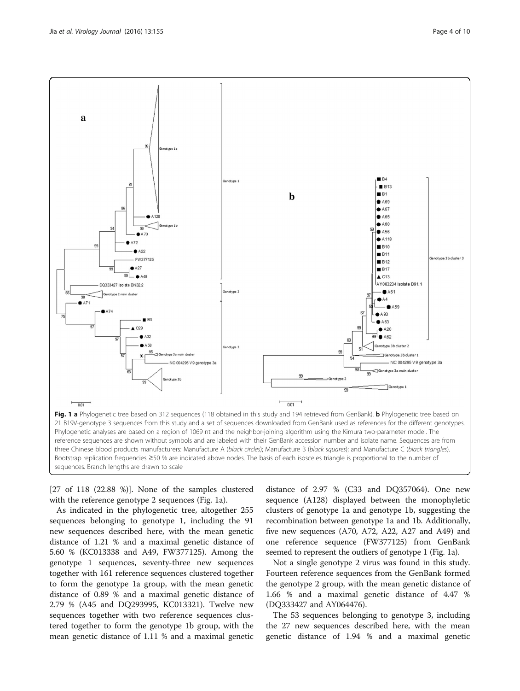<span id="page-3-0"></span>

[27 of 118 (22.88 %)]. None of the samples clustered with the reference genotype 2 sequences (Fig. 1a).

As indicated in the phylogenetic tree, altogether 255 sequences belonging to genotype 1, including the 91 new sequences described here, with the mean genetic distance of 1.21 % and a maximal genetic distance of 5.60 % (KC013338 and A49, FW377125). Among the genotype 1 sequences, seventy-three new sequences together with 161 reference sequences clustered together to form the genotype 1a group, with the mean genetic distance of 0.89 % and a maximal genetic distance of 2.79 % (A45 and DQ293995, KC013321). Twelve new sequences together with two reference sequences clustered together to form the genotype 1b group, with the mean genetic distance of 1.11 % and a maximal genetic

distance of 2.97 % (C33 and DQ357064). One new sequence (A128) displayed between the monophyletic clusters of genotype 1a and genotype 1b, suggesting the recombination between genotype 1a and 1b. Additionally, five new sequences (A70, A72, A22, A27 and A49) and one reference sequence (FW377125) from GenBank seemed to represent the outliers of genotype 1 (Fig. 1a).

Not a single genotype 2 virus was found in this study. Fourteen reference sequences from the GenBank formed the genotype 2 group, with the mean genetic distance of 1.66 % and a maximal genetic distance of 4.47 % (DQ333427 and AY064476).

The 53 sequences belonging to genotype 3, including the 27 new sequences described here, with the mean genetic distance of 1.94 % and a maximal genetic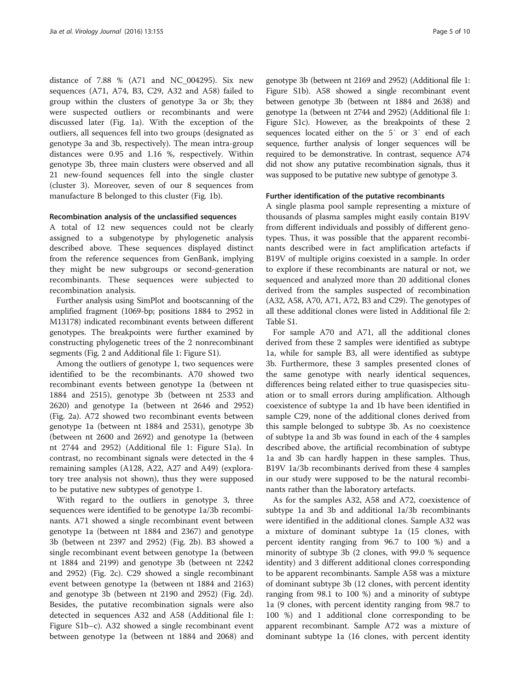distance of 7.88 % (A71 and NC\_004295). Six new sequences (A71, A74, B3, C29, A32 and A58) failed to group within the clusters of genotype 3a or 3b; they were suspected outliers or recombinants and were discussed later (Fig. [1a](#page-3-0)). With the exception of the outliers, all sequences fell into two groups (designated as genotype 3a and 3b, respectively). The mean intra-group distances were 0.95 and 1.16 %, respectively. Within genotype 3b, three main clusters were observed and all 21 new-found sequences fell into the single cluster (cluster 3). Moreover, seven of our 8 sequences from manufacture B belonged to this cluster (Fig. [1b\)](#page-3-0).

# Recombination analysis of the unclassified sequences

A total of 12 new sequences could not be clearly assigned to a subgenotype by phylogenetic analysis described above. These sequences displayed distinct from the reference sequences from GenBank, implying they might be new subgroups or second-generation recombinants. These sequences were subjected to recombination analysis.

Further analysis using SimPlot and bootscanning of the amplified fragment (1069-bp; positions 1884 to 2952 in M13178) indicated recombinant events between different genotypes. The breakpoints were further examined by constructing phylogenetic trees of the 2 nonrecombinant segments (Fig. [2](#page-5-0) and Additional file [1:](#page-7-0) Figure S1).

Among the outliers of genotype 1, two sequences were identified to be the recombinants. A70 showed two recombinant events between genotype 1a (between nt 1884 and 2515), genotype 3b (between nt 2533 and 2620) and genotype 1a (between nt 2646 and 2952) (Fig. [2a\)](#page-5-0). A72 showed two recombinant events between genotype 1a (between nt 1884 and 2531), genotype 3b (between nt 2600 and 2692) and genotype 1a (between nt 2744 and 2952) (Additional file [1](#page-7-0): Figure S1a). In contrast, no recombinant signals were detected in the 4 remaining samples (A128, A22, A27 and A49) (exploratory tree analysis not shown), thus they were supposed to be putative new subtypes of genotype 1.

With regard to the outliers in genotype 3, three sequences were identified to be genotype 1a/3b recombinants. A71 showed a single recombinant event between genotype 1a (between nt 1884 and 2367) and genotype 3b (between nt 2397 and 2952) (Fig. [2b\)](#page-5-0). B3 showed a single recombinant event between genotype 1a (between nt 1884 and 2199) and genotype 3b (between nt 2242 and 2952) (Fig. [2c](#page-5-0)). C29 showed a single recombinant event between genotype 1a (between nt 1884 and 2163) and genotype 3b (between nt 2190 and 2952) (Fig. [2d](#page-5-0)). Besides, the putative recombination signals were also detected in sequences A32 and A58 (Additional file [1](#page-7-0): Figure S1b–c). A32 showed a single recombinant event between genotype 1a (between nt 1884 and 2068) and

genotype 3b (between nt 2169 and 2952) (Additional file [1](#page-7-0): Figure S1b). A58 showed a single recombinant event between genotype 3b (between nt 1884 and 2638) and genotype 1a (between nt 2744 and 2952) (Additional file [1](#page-7-0): Figure S1c). However, as the breakpoints of these 2 sequences located either on the 5′ or 3′ end of each sequence, further analysis of longer sequences will be required to be demonstrative. In contrast, sequence A74 did not show any putative recombination signals, thus it was supposed to be putative new subtype of genotype 3.

# Further identification of the putative recombinants

A single plasma pool sample representing a mixture of thousands of plasma samples might easily contain B19V from different individuals and possibly of different genotypes. Thus, it was possible that the apparent recombinants described were in fact amplification artefacts if B19V of multiple origins coexisted in a sample. In order to explore if these recombinants are natural or not, we sequenced and analyzed more than 20 additional clones derived from the samples suspected of recombination (A32, A58, A70, A71, A72, B3 and C29). The genotypes of all these additional clones were listed in Additional file [2](#page-7-0): Table S1.

For sample A70 and A71, all the additional clones derived from these 2 samples were identified as subtype 1a, while for sample B3, all were identified as subtype 3b. Furthermore, these 3 samples presented clones of the same genotype with nearly identical sequences, differences being related either to true quasispecies situation or to small errors during amplification. Although coexistence of subtype 1a and 1b have been identified in sample C29, none of the additional clones derived from this sample belonged to subtype 3b. As no coexistence of subtype 1a and 3b was found in each of the 4 samples described above, the artificial recombination of subtype 1a and 3b can hardly happen in these samples. Thus, B19V 1a/3b recombinants derived from these 4 samples in our study were supposed to be the natural recombinants rather than the laboratory artefacts.

As for the samples A32, A58 and A72, coexistence of subtype 1a and 3b and additional 1a/3b recombinants were identified in the additional clones. Sample A32 was a mixture of dominant subtype 1a (15 clones, with percent identity ranging from 96.7 to 100 %) and a minority of subtype 3b (2 clones, with 99.0 % sequence identity) and 3 different additional clones corresponding to be apparent recombinants. Sample A58 was a mixture of dominant subtype 3b (12 clones, with percent identity ranging from 98.1 to 100 %) and a minority of subtype 1a (9 clones, with percent identity ranging from 98.7 to 100 %) and 1 additional clone corresponding to be apparent recombinant. Sample A72 was a mixture of dominant subtype 1a (16 clones, with percent identity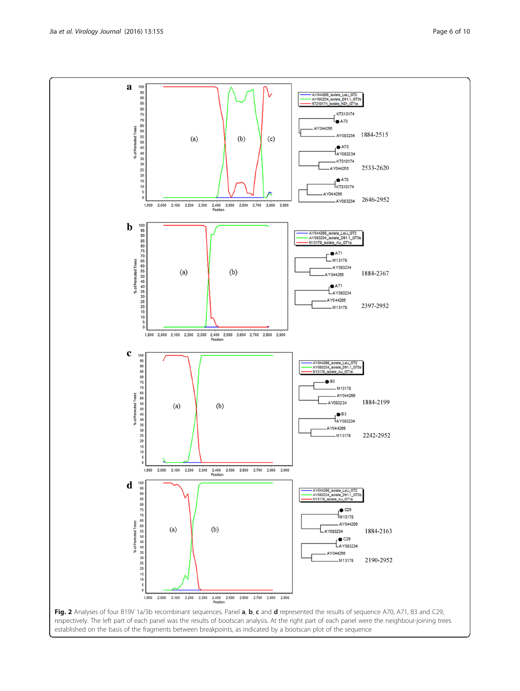<span id="page-5-0"></span>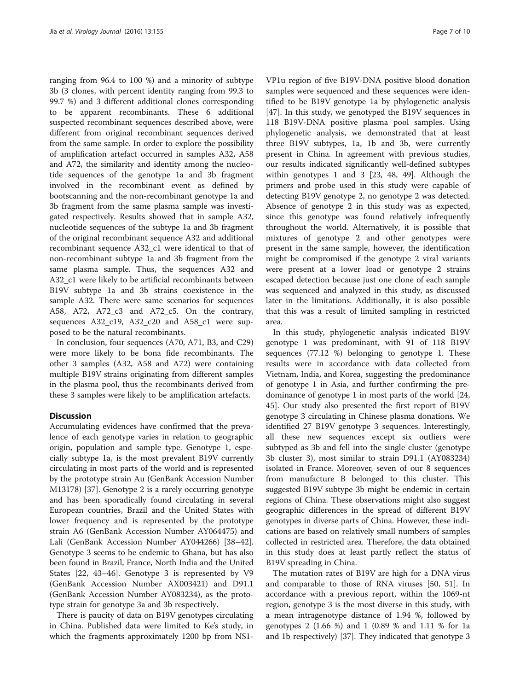ranging from 96.4 to 100 %) and a minority of subtype 3b (3 clones, with percent identity ranging from 99.3 to 99.7 %) and 3 different additional clones corresponding to be apparent recombinants. These 6 additional suspected recombinant sequences described above, were different from original recombinant sequences derived from the same sample. In order to explore the possibility of amplification artefact occurred in samples A32, A58 and A72, the similarity and identity among the nucleotide sequences of the genotype 1a and 3b fragment involved in the recombinant event as defined by bootscanning and the non-recombinant genotype 1a and 3b fragment from the same plasma sample was investigated respectively. Results showed that in sample A32, nucleotide sequences of the subtype 1a and 3b fragment of the original recombinant sequence A32 and additional recombinant sequence A32\_c1 were identical to that of non-recombinant subtype 1a and 3b fragment from the same plasma sample. Thus, the sequences A32 and A32\_c1 were likely to be artificial recombinants between B19V subtype 1a and 3b strains coexistence in the sample A32. There were same scenarios for sequences A58, A72, A72\_c3 and A72\_c5. On the contrary, sequences A32\_c19, A32\_c20 and A58\_c1 were supposed to be the natural recombinants.

In conclusion, four sequences (A70, A71, B3, and C29) were more likely to be bona fide recombinants. The other 3 samples (A32, A58 and A72) were containing multiple B19V strains originating from different samples in the plasma pool, thus the recombinants derived from these 3 samples were likely to be amplification artefacts.

# **Discussion**

Accumulating evidences have confirmed that the prevalence of each genotype varies in relation to geographic origin, population and sample type. Genotype 1, especially subtype 1a, is the most prevalent B19V currently circulating in most parts of the world and is represented by the prototype strain Au (GenBank Accession Number M13178) [[37\]](#page-9-0). Genotype 2 is a rarely occurring genotype and has been sporadically found circulating in several European countries, Brazil and the United States with lower frequency and is represented by the prototype strain A6 (GenBank Accession Number AY064475) and Lali (GenBank Accession Number AY044266) [[38](#page-9-0)–[42](#page-9-0)]. Genotype 3 seems to be endemic to Ghana, but has also been found in Brazil, France, North India and the United States [\[22](#page-8-0), [43](#page-9-0)–[46](#page-9-0)]. Genotype 3 is represented by V9 (GenBank Accession Number AX003421) and D91.1 (GenBank Accession Number AY083234), as the prototype strain for genotype 3a and 3b respectively.

There is paucity of data on B19V genotypes circulating in China. Published data were limited to Ke's study, in which the fragments approximately 1200 bp from NS1-

VP1u region of five B19V-DNA positive blood donation samples were sequenced and these sequences were identified to be B19V genotype 1a by phylogenetic analysis [[47\]](#page-9-0). In this study, we genotyped the B19V sequences in 118 B19V-DNA positive plasma pool samples. Using phylogenetic analysis, we demonstrated that at least three B19V subtypes, 1a, 1b and 3b, were currently present in China. In agreement with previous studies, our results indicated significantly well-defined subtypes within genotypes 1 and 3 [\[23](#page-8-0), [48, 49](#page-9-0)]. Although the primers and probe used in this study were capable of detecting B19V genotype 2, no genotype 2 was detected. Absence of genotype 2 in this study was as expected, since this genotype was found relatively infrequently throughout the world. Alternatively, it is possible that mixtures of genotype 2 and other genotypes were present in the same sample, however, the identification might be compromised if the genotype 2 viral variants were present at a lower load or genotype 2 strains escaped detection because just one clone of each sample was sequenced and analyzed in this study, as discussed later in the limitations. Additionally, it is also possible that this was a result of limited sampling in restricted area.

In this study, phylogenetic analysis indicated B19V genotype 1 was predominant, with 91 of 118 B19V sequences (77.12 %) belonging to genotype 1. These results were in accordance with data collected from Vietnam, India, and Korea, suggesting the predominance of genotype 1 in Asia, and further confirming the predominance of genotype 1 in most parts of the world [[24](#page-8-0), [45\]](#page-9-0). Our study also presented the first report of B19V genotype 3 circulating in Chinese plasma donations. We identified 27 B19V genotype 3 sequences. Interestingly, all these new sequences except six outliers were subtyped as 3b and fell into the single cluster (genotype 3b cluster 3), most similar to strain D91.1 (AY083234) isolated in France. Moreover, seven of our 8 sequences from manufacture B belonged to this cluster. This suggested B19V subtype 3b might be endemic in certain regions of China. These observations might also suggest geographic differences in the spread of different B19V genotypes in diverse parts of China. However, these indications are based on relatively small numbers of samples collected in restricted area. Therefore, the data obtained in this study does at least partly reflect the status of B19V spreading in China.

The mutation rates of B19V are high for a DNA virus and comparable to those of RNA viruses [\[50](#page-9-0), [51](#page-9-0)]. In accordance with a previous report, within the 1069-nt region, genotype 3 is the most diverse in this study, with a mean intragenotype distance of 1.94 %, followed by genotypes 2 (1.66 %) and 1 (0.89 % and 1.11 % for 1a and 1b respectively) [[37\]](#page-9-0). They indicated that genotype 3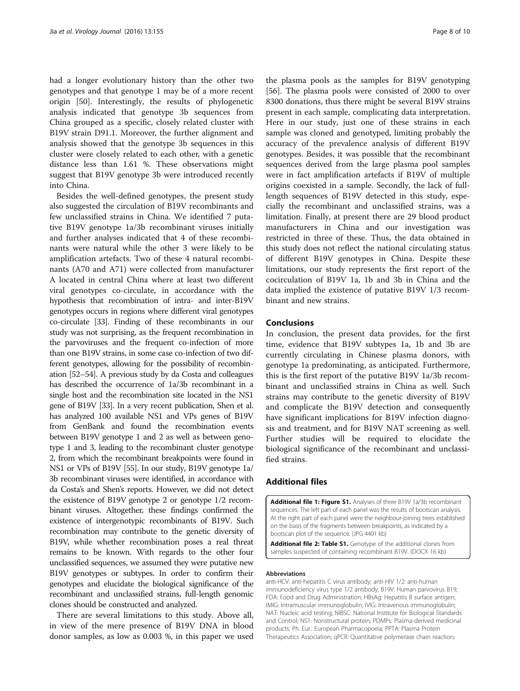<span id="page-7-0"></span>had a longer evolutionary history than the other two genotypes and that genotype 1 may be of a more recent origin [\[50](#page-9-0)]. Interestingly, the results of phylogenetic analysis indicated that genotype 3b sequences from China grouped as a specific, closely related cluster with B19V strain D91.1. Moreover, the further alignment and analysis showed that the genotype 3b sequences in this cluster were closely related to each other, with a genetic distance less than 1.61 %. These observations might suggest that B19V genotype 3b were introduced recently into China.

Besides the well-defined genotypes, the present study also suggested the circulation of B19V recombinants and few unclassified strains in China. We identified 7 putative B19V genotype 1a/3b recombinant viruses initially and further analyses indicated that 4 of these recombinants were natural while the other 3 were likely to be amplification artefacts. Two of these 4 natural recombinants (A70 and A71) were collected from manufacturer A located in central China where at least two different viral genotypes co-circulate, in accordance with the hypothesis that recombination of intra- and inter-B19V genotypes occurs in regions where different viral genotypes co-circulate [\[33](#page-8-0)]. Finding of these recombinants in our study was not surprising, as the frequent recombination in the parvoviruses and the frequent co-infection of more than one B19V strains, in some case co-infection of two different genotypes, allowing for the possibility of recombination [\[52](#page-9-0)–[54\]](#page-9-0). A previous study by da Costa and colleagues has described the occurrence of 1a/3b recombinant in a single host and the recombination site located in the NS1 gene of B19V [[33](#page-8-0)]. In a very recent publication, Shen et al. has analyzed 100 available NS1 and VPs genes of B19V from GenBank and found the recombination events between B19V genotype 1 and 2 as well as between genotype 1 and 3, leading to the recombinant cluster genotype 2, from which the recombinant breakpoints were found in NS1 or VPs of B19V [[55](#page-9-0)]. In our study, B19V genotype 1a/ 3b recombinant viruses were identified, in accordance with da Costa's and Shen's reports. However, we did not detect the existence of B19V genotype 2 or genotype 1/2 recombinant viruses. Altogether, these findings confirmed the existence of intergenotypic recombinants of B19V. Such recombination may contribute to the genetic diversity of B19V, while whether recombination poses a real threat remains to be known. With regards to the other four unclassified sequences, we assumed they were putative new B19V genotypes or subtypes. In order to confirm their genotypes and elucidate the biological significance of the recombinant and unclassified strains, full-length genomic clones should be constructed and analyzed.

There are several limitations to this study. Above all, in view of the mere presence of B19V DNA in blood donor samples, as low as 0.003 %, in this paper we used

the plasma pools as the samples for B19V genotyping [[56\]](#page-9-0). The plasma pools were consisted of 2000 to over 8300 donations, thus there might be several B19V strains present in each sample, complicating data interpretation. Here in our study, just one of these strains in each sample was cloned and genotyped, limiting probably the accuracy of the prevalence analysis of different B19V genotypes. Besides, it was possible that the recombinant sequences derived from the large plasma pool samples were in fact amplification artefacts if B19V of multiple origins coexisted in a sample. Secondly, the lack of fulllength sequences of B19V detected in this study, especially the recombinant and unclassified strains, was a limitation. Finally, at present there are 29 blood product manufacturers in China and our investigation was restricted in three of these. Thus, the data obtained in this study does not reflect the national circulating status of different B19V genotypes in China. Despite these limitations, our study represents the first report of the cocirculation of B19V 1a, 1b and 3b in China and the data implied the existence of putative B19V 1/3 recombinant and new strains.

# Conclusions

In conclusion, the present data provides, for the first time, evidence that B19V subtypes 1a, 1b and 3b are currently circulating in Chinese plasma donors, with genotype 1a predominating, as anticipated. Furthermore, this is the first report of the putative B19V 1a/3b recombinant and unclassified strains in China as well. Such strains may contribute to the genetic diversity of B19V and complicate the B19V detection and consequently have significant implications for B19V infection diagnosis and treatment, and for B19V NAT screening as well. Further studies will be required to elucidate the biological significance of the recombinant and unclassified strains.

# Additional files

[Additional file 1: Figure S1.](dx.doi.org/10.1186/s12985-016-0611-6) Analyses of three B19V 1a/3b recombinant sequences. The left part of each panel was the results of bootscan analysis. At the right part of each panel were the neighbour-joining trees established on the basis of the fragments between breakpoints, as indicated by a bootscan plot of the sequence. (JPG 4401 kb)

[Additional file 2: Table S1.](dx.doi.org/10.1186/s12985-016-0611-6) Genotype of the additional clones from samples suspected of containing recombinant B19V. (DOCX 16 kb)

#### Abbreviations

anti-HCV: anti-hepatitis C virus antibody; anti-HIV 1/2: anti-human immunodeficiency virus type 1/2 antibody; B19V: Human parvovirus B19; FDA: Food and Drug Administration; HBsAg: Hepatitis B surface antigen; IMIG: Intramuscular immunoglobulin; IVIG: Intravenous immunoglobulin; NAT: Nucleic acid testing; NIBSC: National Institute for Biological Standards and Control; NS1: Nonstructural protein; PDMPs: Plasma-derived medicinal products; Ph. Eur.: European Pharmacopoeia; PPTA: Plasma Protein Therapeutics Association; qPCR: Quantitative polymerase chain reaction;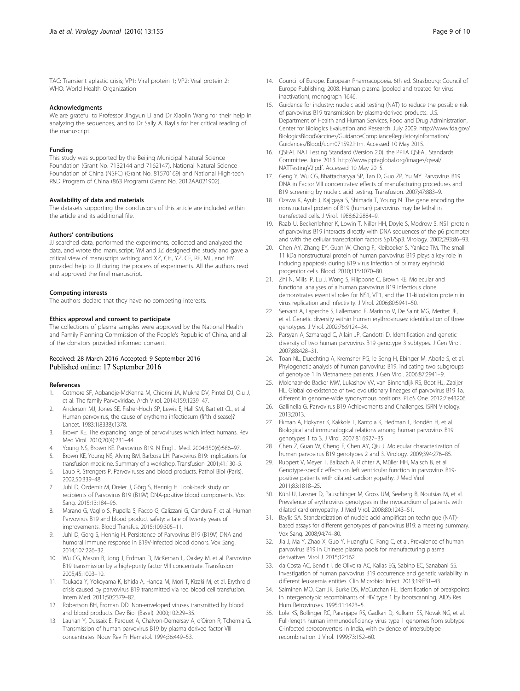#### <span id="page-8-0"></span>Acknowledgments

We are grateful to Professor Jingyun Li and Dr Xiaolin Wang for their help in analyzing the sequences, and to Dr Sally A. Baylis for her critical reading of the manuscript.

#### Funding

This study was supported by the Beijing Municipal Natural Science Foundation (Grant No. 7132144 and 7162147), National Natural Science Foundation of China (NSFC) (Grant No. 81570169) and National High-tech R&D Program of China (863 Program) (Grant No. 2012AA021902).

#### Availability of data and materials

The datasets supporting the conclusions of this article are included within the article and its additional file.

#### Authors' contributions

JJ searched data, performed the experiments, collected and analyzed the data, and wrote the manuscript; YM and JZ designed the study and gave a critical view of manuscript writing; and XZ, CH, YZ, CF, RF, ML, and HY provided help to JJ during the process of experiments. All the authors read and approved the final manuscript.

#### Competing interests

The authors declare that they have no competing interests.

#### Ethics approval and consent to participate

The collections of plasma samples were approved by the National Health and Family Planning Commission of the People's Republic of China, and all of the donators provided informed consent.

# Received: 28 March 2016 Accepted: 9 September 2016 Published online: 17 September 2016

#### References

- 1. Cotmore SF, Agbandje-McKenna M, Chiorini JA, Mukha DV, Pintel DJ, Qiu J, et al. The family Parvoviridae. Arch Virol. 2014;159:1239–47.
- 2. Anderson MJ, Jones SE, Fisher-Hoch SP, Lewis E, Hall SM, Bartlett CL, et al. Human parvovirus, the cause of erythema infectiosum (fifth disease)? Lancet. 1983;1(8338):1378.
- 3. Brown KE. The expanding range of parvoviruses which infect humans. Rev Med Virol. 2010;20(4):231–44.
- 4. Young NS, Brown KE. Parvovirus B19. N Engl J Med. 2004;350(6):586–97.
- 5. Brown KE, Young NS, Alving BM, Barbosa LH. Parvovirus B19: implications for transfusion medicine. Summary of a workshop. Transfusion. 2001;41:130–5.
- 6. Laub R, Strengers P. Parvoviruses and blood products. Pathol Biol (Paris). 2002;50:339–48.
- 7. Juhl D, Özdemir M, Dreier J, Görg S, Hennig H. Look-back study on recipients of Parvovirus B19 (B19V) DNA-positive blood components. Vox Sang. 2015;13:184–96.
- 8. Marano G, Vaglio S, Pupella S, Facco G, Calizzani G, Candura F, et al. Human Parvovirus B19 and blood product safety: a tale of twenty years of improvements. Blood Transfus. 2015;109:305–11.
- Juhl D, Gorg S, Hennig H. Persistence of Parvovirus B19 (B19V) DNA and humoral immune response in B19V-infected blood donors. Vox Sang. 2014;107:226–32.
- 10. Wu CG, Mason B, Jong J, Erdman D, McKernan L, Oakley M, et al. Parvovirus B19 transmission by a high-purity factor VIII concentrate. Transfusion. 2005;45:1003–10.
- 11. Tsukada Y, Yokoyama K, Ishida A, Handa M, Mori T, Kizaki M, et al. Erythroid crisis caused by parvovirus B19 transmitted via red blood cell transfusion. Intern Med. 2011;50:2379–82.
- 12. Robertson BH, Erdman DD. Non-enveloped viruses transmitted by blood and blood products. Dev Biol (Basel). 2000;102:29–35.
- 13. Laurian Y, Dussaix E, Parquet A, Chalvon-Demersay A, d'Oiron R, Tchernia G. Transmission of human parvovirus B19 by plasma derived factor VIII concentrates. Nouv Rev Fr Hematol. 1994;36:449–53.
- 14. Council of Europe. European Pharmacopoeia. 6th ed. Strasbourg: Council of Europe Publishing; 2008. Human plasma (pooled and treated for virus inactivation), monograph 1646.
- 15. Guidance for industry: nucleic acid testing (NAT) to reduce the possible risk of parvovirus B19 transmission by plasma-derived products. U.S. Department of Health and Human Services, Food and Drug Administration, Center for Biologics Evaluation and Research. July 2009. [http://www.fda.gov/](http://www.fda.gov/BiologicsBloodVaccines/GuidanceComplianceRegulatoryInformation/Guidances/Blood/ucm071592.htm) [BiologicsBloodVaccines/GuidanceComplianceRegulatoryInformation/](http://www.fda.gov/BiologicsBloodVaccines/GuidanceComplianceRegulatoryInformation/Guidances/Blood/ucm071592.htm) [Guidances/Blood/ucm071592.htm.](http://www.fda.gov/BiologicsBloodVaccines/GuidanceComplianceRegulatoryInformation/Guidances/Blood/ucm071592.htm) Accessed 10 May 2015.
- 16. QSEAL NAT Testing Standard (Version 2.0). the PPTA QSEAL Standards Committee. June 2013. [http://www.pptaglobal.org/images/qseal/](http://www.pptaglobal.org/images/qseal/NATTestingV2.pdf) [NATTestingV2.pdf.](http://www.pptaglobal.org/images/qseal/NATTestingV2.pdf) Accessed 10 May 2015.
- 17. Geng Y, Wu CG, Bhattacharyya SP, Tan D, Guo ZP, Yu MY. Parvovirus B19 DNA in Factor VIII concentrates: effects of manufacturing procedures and B19 screening by nucleic acid testing. Transfusion. 2007;47:883–9.
- 18. Ozawa K, Ayub J, Kajigaya S, Shimada T, Young N. The gene encoding the nonstructural protein of B19 (human) parvovirus may be lethal in transfected cells. J Virol. 1988;62:2884–9.
- 19. Raab U, Beckenlehner K, Lowin T, Niller HH, Doyle S, Modrow S. NS1 protein of parvovirus B19 interacts directly with DNA sequences of the p6 promoter and with the cellular transcription factors Sp1/Sp3. Virology. 2002;293:86–93.
- 20. Chen AY, Zhang EY, Guan W, Cheng F, Kleiboeker S, Yankee TM. The small 11 kDa nonstructural protein of human parvovirus B19 plays a key role in inducing apoptosis during B19 virus infection of primary erythroid progenitor cells. Blood. 2010;115:1070–80.
- 21. Zhi N, Mills IP, Lu J, Wong S, Filippone C, Brown KE. Molecular and functional analyses of a human parvovirus B19 infectious clone demonstrates essential roles for NS1, VP1, and the 11-kilodalton protein in virus replication and infectivity. J Virol. 2006;80:5941–50.
- 22. Servant A, Laperche S, Lallemand F, Marinho V, De Saint MG, Meritet JF, et al. Genetic diversity within human erythroviruses: identification of three genotypes. J Virol. 2002;76:9124–34.
- 23. Parsyan A, Szmaragd C, Allain JP, Candotti D. Identification and genetic diversity of two human parvovirus B19 genotype 3 subtypes. J Gen Virol. 2007;88:428–31.
- 24. Toan NL, Duechting A, Kremsner PG, le Song H, Ebinger M, Aberle S, et al. Phylogenetic analysis of human parvovirus B19, indicating two subgroups of genotype 1 in Vietnamese patients. J Gen Virol. 2006;87:2941–9.
- 25. Molenaar-de Backer MW, Lukashov VV, van Binnendijk RS, Boot HJ, Zaaijer HL. Global co-existence of two evolutionary lineages of parvovirus B19 1a, different in genome-wide synonymous positions. PLoS One. 2012;7:e43206.
- 26. Gallinella G. Parvovirus B19 Achievements and Challenges. ISRN Virology. 2013;2013.
- 27. Ekman A, Hokynar K, Kakkola L, Kantola K, Hedman L, Bondén H, et al. Biological and immunological relations among human parvovirus B19 genotypes 1 to 3. J Virol. 2007;81:6927–35.
- 28. Chen Z, Guan W, Cheng F, Chen AY, Qiu J. Molecular characterization of human parvovirus B19 genotypes 2 and 3. Virology. 2009;394:276–85.
- 29. Ruppert V, Meyer T, Balbach A, Richter A, Müller HH, Maisch B, et al. Genotype-specific effects on left ventricular function in parvovirus B19 positive patients with dilated cardiomyopathy. J Med Virol. 2011;83:1818–25.
- 30. Kühl U, Lassner D, Pauschinger M, Gross UM, Seeberg B, Noutsias M, et al. Prevalence of erythrovirus genotypes in the myocardium of patients with dilated cardiomyopathy. J Med Virol. 2008;80:1243–51.
- 31. Baylis SA. Standardization of nucleic acid amplification technique (NAT) based assays for different genotypes of parvovirus B19: a meeting summary. Vox Sang. 2008;94:74–80.
- 32. Jia J, Ma Y, Zhao X, Guo Y, Huangfu C, Fang C, et al. Prevalence of human parvovirus B19 in Chinese plasma pools for manufacturing plasma derivatives. Virol J. 2015;12:162.
- 33. da Costa AC, Bendit I, de Oliveira AC, Kallas EG, Sabino EC, Sanabani SS. Investigation of human parvovirus B19 occurrence and genetic variability in different leukaemia entities. Clin Microbiol Infect. 2013;19:E31–43.
- 34. Salminen MO, Carr JK, Burke DS, McCutchan FE. Identification of breakpoints in intergenotypic recombinants of HIV type 1 by bootscanning. AIDS Res Hum Retroviruses. 1995;11:1423–5.
- 35. Lole KS, Bollinger RC, Paranjape RS, Gadkari D, Kulkarni SS, Novak NG, et al. Full-length human immunodeficiency virus type 1 genomes from subtype C-infected seroconverters in India, with evidence of intersubtype recombination. J Virol. 1999;73:152–60.